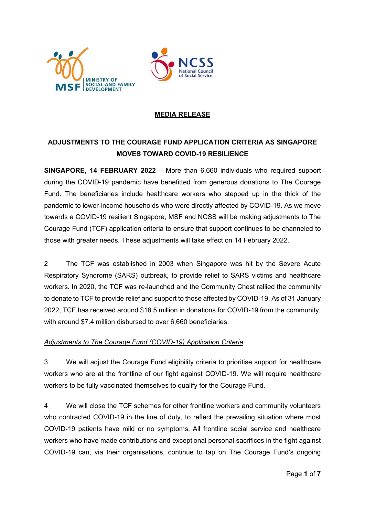



## MEDIA RELEASE

# ADJUSTMENTS TO THE COURAGE FUND APPLICATION CRITERIA AS SINGAPORE MOVES TOWARD COVID-19 RESILIENCE

SINGAPORE, 14 FEBRUARY 2022 – More than 6,660 individuals who required support during the COVID-19 pandemic have benefitted from generous donations to The Courage Fund. The beneficiaries include healthcare workers who stepped up in the thick of the pandemic to lower-income households who were directly affected by COVID-19. As we move towards a COVID-19 resilient Singapore, MSF and NCSS will be making adjustments to The Courage Fund (TCF) application criteria to ensure that support continues to be channeled to those with greater needs. These adjustments will take effect on 14 February 2022.

2 The TCF was established in 2003 when Singapore was hit by the Severe Acute Respiratory Syndrome (SARS) outbreak, to provide relief to SARS victims and healthcare workers. In 2020, the TCF was re-launched and the Community Chest rallied the community to donate to TCF to provide relief and support to those affected by COVID-19. As of 31 January 2022, TCF has received around \$18.5 million in donations for COVID-19 from the community, with around \$7.4 million disbursed to over 6,660 beneficiaries.

#### Adjustments to The Courage Fund (COVID-19) Application Criteria

3 We will adjust the Courage Fund eligibility criteria to prioritise support for healthcare workers who are at the frontline of our fight against COVID-19. We will require healthcare workers to be fully vaccinated themselves to qualify for the Courage Fund.

4 We will close the TCF schemes for other frontline workers and community volunteers who contracted COVID-19 in the line of duty, to reflect the prevailing situation where most COVID-19 patients have mild or no symptoms. All frontline social service and healthcare workers who have made contributions and exceptional personal sacrifices in the fight against COVID-19 can, via their organisations, continue to tap on The Courage Fund's ongoing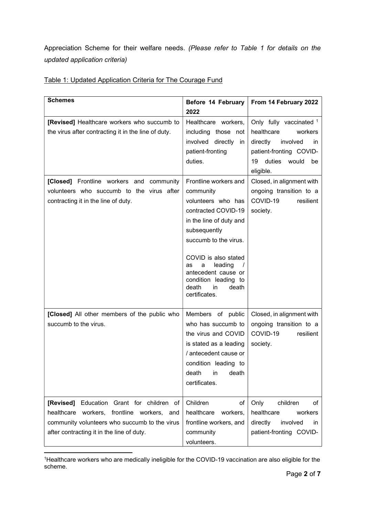Appreciation Scheme for their welfare needs. (Please refer to Table 1 for details on the updated application criteria)

| <b>Schemes</b>                                                                                                                                                                        | Before 14 February                                                                                                                                                                                                                                                                        | From 14 February 2022                                                                                    |
|---------------------------------------------------------------------------------------------------------------------------------------------------------------------------------------|-------------------------------------------------------------------------------------------------------------------------------------------------------------------------------------------------------------------------------------------------------------------------------------------|----------------------------------------------------------------------------------------------------------|
|                                                                                                                                                                                       | 2022                                                                                                                                                                                                                                                                                      |                                                                                                          |
| [Revised] Healthcare workers who succumb to<br>the virus after contracting it in the line of duty.                                                                                    | Healthcare workers,<br>including those not<br>involved directly<br>in                                                                                                                                                                                                                     | Only fully vaccinated 1<br>healthcare<br>workers<br>directly<br>involved<br>in                           |
|                                                                                                                                                                                       | patient-fronting<br>duties.                                                                                                                                                                                                                                                               | patient-fronting COVID-<br>duties<br>19<br>would<br>be<br>eligible.                                      |
| [Closed] Frontline workers and community<br>volunteers who succumb to the virus after<br>contracting it in the line of duty.                                                          | Frontline workers and<br>community<br>volunteers who has<br>contracted COVID-19<br>in the line of duty and<br>subsequently<br>succumb to the virus.<br>COVID is also stated<br>leading<br>as<br>a<br>antecedent cause or<br>condition leading to<br>death<br>death<br>in<br>certificates. | Closed, in alignment with<br>ongoing transition to a<br>COVID-19<br>resilient<br>society.                |
| [Closed] All other members of the public who<br>succumb to the virus.                                                                                                                 | Members of public<br>who has succumb to<br>the virus and COVID<br>is stated as a leading<br>/ antecedent cause or<br>condition leading to<br>death<br>death<br>in<br>certificates.                                                                                                        | Closed, in alignment with<br>ongoing transition to a<br>COVID-19<br>resilient<br>society.                |
| [Revised] Education Grant for children of<br>healthcare workers, frontline workers, and<br>community volunteers who succumb to the virus<br>after contracting it in the line of duty. | Children<br>οf<br>healthcare<br>workers,<br>frontline workers, and<br>community<br>volunteers.                                                                                                                                                                                            | Only<br>children<br>οf<br>healthcare<br>workers<br>directly<br>involved<br>in<br>patient-fronting COVID- |

## Table 1: Updated Application Criteria for The Courage Fund

<sup>1</sup>Healthcare workers who are medically ineligible for the COVID-19 vaccination are also eligible for the scheme.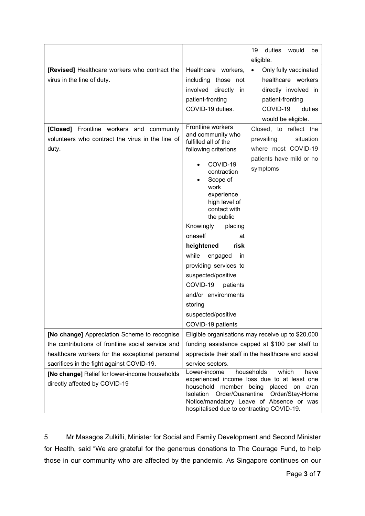|                                                                                                                                                      |                                                                                                                                                                                                                                                                                                                                                                                                                                                 | duties<br>19<br>would<br>be<br>eligible.                                                                                               |
|------------------------------------------------------------------------------------------------------------------------------------------------------|-------------------------------------------------------------------------------------------------------------------------------------------------------------------------------------------------------------------------------------------------------------------------------------------------------------------------------------------------------------------------------------------------------------------------------------------------|----------------------------------------------------------------------------------------------------------------------------------------|
| [Revised] Healthcare workers who contract the<br>virus in the line of duty.                                                                          | Healthcare workers,<br>including those not<br>involved directly in<br>patient-fronting<br>COVID-19 duties.                                                                                                                                                                                                                                                                                                                                      | Only fully vaccinated<br>$\bullet$<br>healthcare workers<br>directly involved in<br>patient-fronting<br>COVID-19<br>duties             |
| [Closed] Frontline workers and community<br>volunteers who contract the virus in the line of<br>duty.                                                | Frontline workers<br>and community who<br>fulfilled all of the<br>following criterions<br>COVID-19<br>contraction<br>Scope of<br>work<br>experience<br>high level of<br>contact with<br>the public<br>Knowingly<br>placing<br>oneself<br>at<br>heightened<br>risk<br>while<br>engaged<br>in<br>providing services to<br>suspected/positive<br>COVID-19<br>patients<br>and/or environments<br>storing<br>suspected/positive<br>COVID-19 patients | would be eligible.<br>Closed, to reflect the<br>prevailing<br>situation<br>where most COVID-19<br>patients have mild or no<br>symptoms |
| [No change] Appreciation Scheme to recognise<br>the contributions of frontline social service and<br>healthcare workers for the exceptional personal | Eligible organisations may receive up to \$20,000<br>funding assistance capped at \$100 per staff to<br>appreciate their staff in the healthcare and social                                                                                                                                                                                                                                                                                     |                                                                                                                                        |
| sacrifices in the fight against COVID-19.<br>[No change] Relief for lower-income households<br>directly affected by COVID-19                         | service sectors.<br>households<br>which<br>Lower-income<br>have<br>experienced income loss due to at least one<br>member<br>household<br>being<br>placed on<br>a/an<br>Order/Quarantine<br>Isolation<br>Order/Stay-Home<br>Notice/mandatory Leave of Absence or was<br>hospitalised due to contracting COVID-19.                                                                                                                                |                                                                                                                                        |

5 Mr Masagos Zulkifli, Minister for Social and Family Development and Second Minister for Health, said "We are grateful for the generous donations to The Courage Fund, to help those in our community who are affected by the pandemic. As Singapore continues on our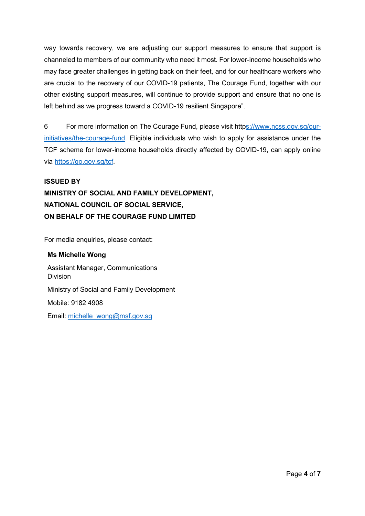way towards recovery, we are adjusting our support measures to ensure that support is channeled to members of our community who need it most. For lower-income households who may face greater challenges in getting back on their feet, and for our healthcare workers who are crucial to the recovery of our COVID-19 patients, The Courage Fund, together with our other existing support measures, will continue to provide support and ensure that no one is left behind as we progress toward a COVID-19 resilient Singapore".

6 For more information on The Courage Fund, please visit https://www.ncss.gov.sg/ourinitiatives/the-courage-fund. Eligible individuals who wish to apply for assistance under the TCF scheme for lower-income households directly affected by COVID-19, can apply online via https://go.gov.sg/tcf.

#### ISSUED BY

# MINISTRY OF SOCIAL AND FAMILY DEVELOPMENT, NATIONAL COUNCIL OF SOCIAL SERVICE, ON BEHALF OF THE COURAGE FUND LIMITED

For media enquiries, please contact:

Ms Michelle Wong Assistant Manager, Communications Division Ministry of Social and Family Development Mobile: 9182 4908 Email: michelle\_wong@msf.gov.sg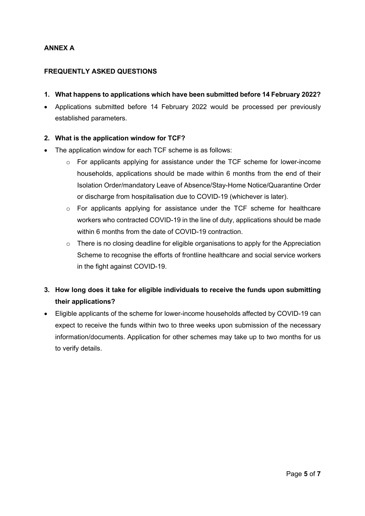## ANNEX A

#### FREQUENTLY ASKED QUESTIONS

- 1. What happens to applications which have been submitted before 14 February 2022?
- Applications submitted before 14 February 2022 would be processed per previously established parameters.

#### 2. What is the application window for TCF?

- The application window for each TCF scheme is as follows:
	- o For applicants applying for assistance under the TCF scheme for lower-income households, applications should be made within 6 months from the end of their Isolation Order/mandatory Leave of Absence/Stay-Home Notice/Quarantine Order or discharge from hospitalisation due to COVID-19 (whichever is later).
	- o For applicants applying for assistance under the TCF scheme for healthcare workers who contracted COVID-19 in the line of duty, applications should be made within 6 months from the date of COVID-19 contraction.
	- o There is no closing deadline for eligible organisations to apply for the Appreciation Scheme to recognise the efforts of frontline healthcare and social service workers in the fight against COVID-19.
- 3. How long does it take for eligible individuals to receive the funds upon submitting their applications?
- Eligible applicants of the scheme for lower-income households affected by COVID-19 can expect to receive the funds within two to three weeks upon submission of the necessary information/documents. Application for other schemes may take up to two months for us to verify details.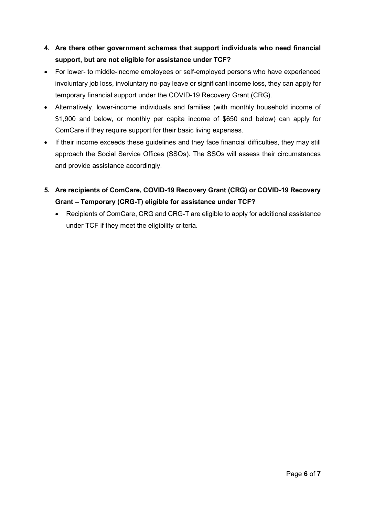# 4. Are there other government schemes that support individuals who need financial support, but are not eligible for assistance under TCF?

- For lower- to middle-income employees or self-employed persons who have experienced involuntary job loss, involuntary no-pay leave or significant income loss, they can apply for temporary financial support under the COVID-19 Recovery Grant (CRG).
- Alternatively, lower-income individuals and families (with monthly household income of \$1,900 and below, or monthly per capita income of \$650 and below) can apply for ComCare if they require support for their basic living expenses.
- If their income exceeds these guidelines and they face financial difficulties, they may still approach the Social Service Offices (SSOs). The SSOs will assess their circumstances and provide assistance accordingly.
- 5. Are recipients of ComCare, COVID-19 Recovery Grant (CRG) or COVID-19 Recovery Grant – Temporary (CRG-T) eligible for assistance under TCF?
	- Recipients of ComCare, CRG and CRG-T are eligible to apply for additional assistance under TCF if they meet the eligibility criteria.